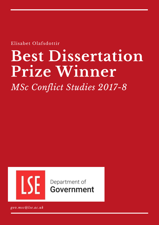Elisabet Olafsdottir

# **Best Dissertation Prize Winner**

*MSc Conflict Studies 2017-8*



Department of **Government** 

*gov.msc@lse.ac.uk*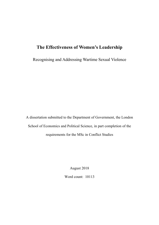# **The Effectiveness of Women's Leadership**

Recognising and Addressing Wartime Sexual Violence

A dissertation submitted to the Department of Government, the London School of Economics and Political Science, in part completion of the requirements for the MSc in Conflict Studies

August 2018

Word count: 10113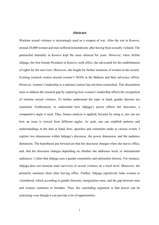# **Abstract**

Wartime sexual violence is increasingly used as a weapon of war. After the war in Kosovo, around 20,000 women and men suffered tremendously after having been sexually violated. The patriarchal mentality in Kosovo kept the issue silenced for years. However, when Atifete Jahjaga, the first female President in Kosovo, took office, she advocated for the establishment of rights for the survivors. Moreover, she fought for further inclusion of women in the society. Existing research centres around women's NGOs in the Balkans and their advocacy efforts. However, women's leadership in a national context has not been researched. This dissertation aims to address the research gap by exploring how women's leadership affects the recognition of wartime sexual violence. To further understand the topic at hand, gender theories are examined. Furthermore, to understand how Jahjaga's power affects her discourse, a comparative angle is used. Thus, frames analysis is applied, because by using it, one can see how an issue is viewed from different angles. As such, one can establish patterns and understandings in the data at hand; here, speeches and comments made at various events. I explore two dimensions within Jahjaga's discourse, the power dimension, and the audience dimension. The hypotheses put forward are that her discourse changes when she leaves office, and, that her discourse changes depending on whether she addresses local, or international audiences. I claim that Jahjaga uses a gender essentialist and nationalist rhetoric. For instance, Jahjaga does not mention male survivors of sexual violence on a local level. Moreover, she primarily mentions them after leaving office. Further, Jahjaga repetitively links women to victimhood, which according to gender theorists, marginalises men, and the gap between men and women continues to broaden. Thus, the concluding argument is that power can be restricting even though it can provide a lot of opportunities.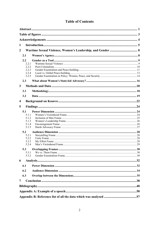# **Table of Contents**

| 1                       |                |  |  |  |  |
|-------------------------|----------------|--|--|--|--|
| $\overline{2}$          |                |  |  |  |  |
|                         | 2.1            |  |  |  |  |
|                         | 2.2            |  |  |  |  |
|                         | 2.2.1          |  |  |  |  |
|                         | 2.2.2<br>2.2.3 |  |  |  |  |
|                         | 2.2.4          |  |  |  |  |
|                         | 2.2.5          |  |  |  |  |
|                         | 2.3            |  |  |  |  |
| 3                       |                |  |  |  |  |
|                         | 3.1            |  |  |  |  |
|                         | 3.2            |  |  |  |  |
| $\overline{\mathbf{4}}$ |                |  |  |  |  |
| 5                       |                |  |  |  |  |
|                         | 5.1            |  |  |  |  |
|                         | 5.1.1          |  |  |  |  |
|                         | 5.1.2          |  |  |  |  |
|                         | 5.1.3<br>5.1.4 |  |  |  |  |
|                         | 5.1.5          |  |  |  |  |
|                         | 5.2            |  |  |  |  |
|                         | 5.2.1          |  |  |  |  |
|                         | 5.2.2<br>5.2.3 |  |  |  |  |
|                         | 5.2.4          |  |  |  |  |
|                         | 5.3            |  |  |  |  |
|                         | 5.3.1          |  |  |  |  |
|                         | 5.3.2          |  |  |  |  |
| 6                       |                |  |  |  |  |
|                         | 6.1            |  |  |  |  |
|                         | 6.2            |  |  |  |  |
|                         | 6.3            |  |  |  |  |
| 7                       |                |  |  |  |  |
|                         |                |  |  |  |  |
|                         |                |  |  |  |  |
|                         |                |  |  |  |  |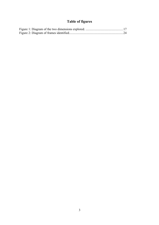# **Table of figures**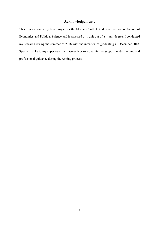# **Acknowledgements**

This dissertation is my final project for the MSc in Conflict Studies at the London School of Economics and Political Science and is assessed at 1 unit out of a 4 unit degree. I conducted my research during the summer of 2018 with the intention of graduating in December 2018. Special thanks to my supervisor, Dr. Denisa Kostovicova, for her support, understanding and professional guidance during the writing process.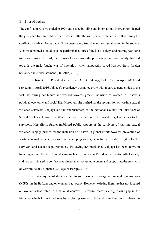#### **1 Introduction**

The conflict in Kosovo ended in 1999 and peace-building and international intervention shaped the years that followed. More than a decade after the war, sexual violence permitted during the conflict by Serbian forces had still not been recognised due to the stigmatisation in the society. Victims remained silent due to the patriarchal culture of the local society, and nothing was done to restore justice. Instead, the primary focus during the post-war period was mainly directed towards the male-fought war of liberation which supposedly saved Kosovo from foreign brutality and embarrassment (Di Lellio, 2016).

The first female President in Kosovo, Atifete Jahjaga, took office in April 2011 and served until April 2016. Jahjaga's presidency was noteworthy with regard to gender, due to the fact that during her tenure she worked towards greater inclusion of women in Kosovo's political, economic and social life. Moreover, she pushed for the recognition of wartime sexual violence survivors. Jahjaga led the establishment of the National Council for Survivors of Sexual Violence During the War in Kosovo, which aims to provide legal remedies to the survivors. Her efforts further mobilised public support of the survivors of wartime sexual violence. Jahjaga pushed for the inclusion of Kosovo in global efforts towards prevention of wartime sexual violence, as well as developing strategies to further establish rights for the survivors and needed legal remedies. Following her presidency, Jahjaga has been active in traveling around the world and discussing her experience as President in a post-conflict society and has participated in conferences aimed at empowering women and supporting the survivors of wartime sexual violence (College of Europe, 2018).

There is a myriad of studies which focus on women's non-governmental organisations (NGOs) in the Balkans and on women's advocacy. However, existing literature has not focused on women's leadership in a national context. Therefore, there is a significant gap in the literature which I aim to address by exploring women's leadership in Kosovo in relation to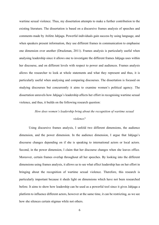wartime sexual violence. Thus, my dissertation attempts to make a further contribution to the existing literature. The dissertation is based on a discursive frames analysis of speeches and comments made by Atifete Jahjaga. Powerful individuals gain success by using language, and when speakers present information, they use different frames in communication to emphasise one dimension over another (Druckman, 2011). Frames analysis is particularly useful when analysing leadership since it allows one to investigate the different frames Jahjaga uses within her discourse, and on different levels with respect to power and audiences. Frames analysis allows the researcher to look at whole statements and what they represent and thus, it is particularly useful when analysing and comparing discourses. The dissertation is focused on studying discourses but concurrently it aims to examine women's political agency. The dissertation unravels how Jahjaga's leadership affects her effort in recognising wartime sexual violence, and thus, it builds on the following research question:

# *How does women's leadership bring about the recognition of wartime sexual violence?*

Using discursive frames analysis, I unfold two different dimensions, the audience dimension, and the power dimension. In the audience dimension, I argue that Jahjaga's discourse changes depending on if she is speaking to international actors or local actors. Second, in the power dimension, I claim that her discourse changes when she leaves office. Moreover, certain frames overlap throughout all her speeches. By looking into the different dimensions using frames analysis, it allows us to see what effect leadership has on her effort in bringing about the recognition of wartime sexual violence. Therefore, this research is particularly important because it sheds light on dimensions which have not been researched before. It aims to show how leadership can be used as a powerful tool since it gives Jahjaga a platform to influence different actors, however at the same time, it can be restricting, as we see how she silences certain stigmas while not others.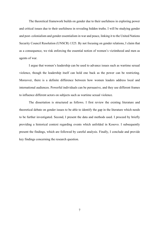The theoretical framework builds on gender due to their usefulness in exploring power and critical issues due to their usefulness in revealing hidden truths. I will be studying gender and post- colonialism and gender essentialism in war and peace, linking it to the United Nations Security Council Resolution (UNSCR) 1325. By not focusing on gender relations, I claim that as a consequence, we risk enforcing the essential notion of women's victimhood and men as agents of war.

I argue that women's leadership can be used to advance issues such as wartime sexual violence, though the leadership itself can hold one back as the power can be restricting. Moreover, there is a definite difference between how women leaders address local and international audiences. Powerful individuals can be persuasive, and they use different frames to influence different actors on subjects such as wartime sexual violence.

The dissertation is structured as follows. I first review the existing literature and theoretical debate on gender issues to be able to identify the gap in the literature which needs to be further investigated. Second, I present the data and methods used. I proceed by briefly providing a historical context regarding events which unfolded in Kosovo. I subsequently present the findings, which are followed by careful analysis. Finally, I conclude and provide key findings concerning the research question.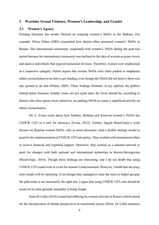#### **2 Wartime Sexual Violence, Women's Leadership, and Gender**

## **2.1 Women's Agency**

Existing literature has mostly focused on studying women's NGOs in the Balkans. For example, Elissa Helms (2003) researched how donors often pressured women's NGOs in Bosnia. The international community cooperated with women's NGOs during the post-war period because the international community was inclined to the idea of women as peace lovers and passive individuals that rejected nationalist division. Therefore, women were emphasised as a respective category. Helms argues that women NGOs were often pushed to emphasise ethnic reconciliation to be able to get funding, even though the NGOs did not believe there was any ground to do that (Helms, 2003). These findings illustrate, in my opinion, the politics behind donor business. Gender issues are put aside since the focus should be, according to donors who often ignore local initiatives, on pushing NGOs to create a superficial priority on ethnic reconciliation.

Jill A. Irvine wrote about how Serbian, Bosnian and Kosovan women's NGOs use UNSCR 1325 as a tool for advocacy (Irvine, 2012). Further, Jagoda Rosul-Gajic's work focuses on Bosnian women NGOs, who as norm advocates, used a double strategy model to push for the implementation of UNSCR 1325 into policy. They worked with international allies to receive financial and logistical support. Moreover, they worked as a national network to push for changes with both national and international authorities in Bosnia-Herzegovina (Rosul-Gajic, 2016). Though these findings are interesting, and I do not doubt that using UNSCR 1325 could work as a tool for women's empowerment. However, I doubt that the longterm results will be satisfying. Even though they managed to raise the issue to higher ground, the path made is not necessarily the right one. I argue that using UNSCR 1325; one should be aware of on what grounds inequality is being fought.

Anna Di Lellio (2016) researched lobbying by women activists in Kosovo which aimed for the incorporation of female perspectives in transitional justice efforts. Di Lellio mentions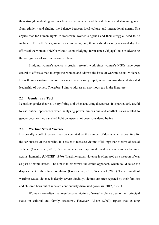their struggle in dealing with wartime sexual violence and their difficulty in distancing gender from ethnicity and finding the balance between local culture and international norms. She argues that for human rights to transform, women's agenda and their struggle, need to be included. Di Lellio's argument is a convincing one, though she does only acknowledge the efforts of the women's NGOs without acknowledging, for instance, Jahjaga's role in advancing the recognition of wartime sexual violence.

Studying women's agency is crucial research work since women's NGOs have been central to efforts aimed to empower women and address the issue of wartime sexual violence. Even though existing research has made a necessary input, none has investigated state-led leadership of women. Therefore, I aim to address an enormous gap in the literature.

# **2.2 Gender as a Tool**

I consider gender theories a very fitting tool when analysing discourses. It is particularly useful to use critical approaches when analysing power dimensions and conflict issues related to gender because they can shed light on aspects not been considered before.

## **2.2.1 Wartime Sexual Violence**

Historically, conflict research has concentrated on the number of deaths when accounting for the seriousness of the conflict. It is easier to measure victims of killings than victims of sexual violence (Cohen et al., 2013). Sexual violence and rape are defined as a war crime and a crime against humanity (UNICEF, 1996). Wartime sexual violence is often used as a weapon of war as part of ethnic hatred. The aim is to embarrass the ethnic opponent, which could cause the displacement of the ethnic population (Cohen et al., 2013; Skjelsbaek, 2001). The aftermath of wartime sexual violence is deeply severe. Socially, victims are often rejected by their families and children born out of rape are continuously dismissed (Aroussi, 2017, p.291).

Women more often than men become victims of sexual violence due to their principal status in cultural and family structures. However, Alison (2007) argues that existing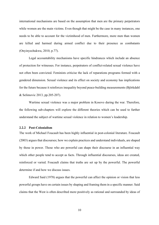international mechanisms are based on the assumption that men are the primary perpetrators while women are the main victims. Even though that might be the case in many instances, one needs to be able to account for the victimhood of men. Furthermore, more men than women are killed and harmed during armed conflict due to their presence as combatants (Onyinyechukwu, 2010, p.77).

Legal accountability mechanisms have specific hindrances which include an absence of protection for witnesses. For instance, perpetrators of conflict-related sexual violence have not often been convicted. Feminists criticise the lack of reparations programs formed with a gendered dimension. Sexual violence and its effect on society and economy has implications for the future because it reinforces inequality beyond peace-building measurements (Björkdahl & Selimovic 2013, pp.205-207).

Wartime sexual violence was a major problem in Kosovo during the war. Therefore, the following sub-chapters will explore the different theories which can be used to further understand the subject of wartime sexual violence in relation to women's leadership.

# **2.2.2 Post-Colonialism**

The work of Michael Foucault has been highly influential in post-colonial literature. Foucault (2003) argues that discourses; how we explain practices and understand individuals, are shaped by those in power. Those who are powerful can shape their discourse in an influential way which other people tend to accept as facts. Through influential discourses, ideas are created, reinforced or varied. Foucault claims that truths are set up by the powerful. The powerful determine if and how we discuss issues.

Edward Said (1978) argues that the powerful can affect the opinion or vision that less powerful groups have on certain issues by shaping and framing them in a specific manner. Said claims that the West is often described more positively as rational and surrounded by ideas of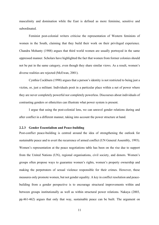masculinity and domination while the East is defined as more feminine, sensitive and subordinated.

Feminist post-colonial writers criticise the representation of Western feminists of women in the South, claiming that they build their work on their privileged experience. Chandra Mohanty (1988) argues that third world women are usually portrayed in the same oppressed manner. Scholars have highlighted the fact that women from former colonies should not be put in the same category, even though they share similar views. As a result, women's diverse realities are rejected (McEwan, 2001).

Cynthia Cockburn (1998) argues that a person's identity is not restricted to being just a victim, or, just a militant. Individuals posit in a particular place within a net of power where they are never completely powerful nor completely powerless. Discourses about individuals of contrasting genders or ethnicities can illustrate what power system is present.

I argue that using the post-colonial lens, we can unravel gender relations during and after conflict in a different manner, taking into account the power structure at hand.

#### **2.2.3 Gender Essentialism and Peace-building**

Post-conflict peace-building is centred around the idea of strengthening the outlook for sustainable peace and to avert the recurrence of armed conflict (UN General Assembly, 1993). Women's representation at the peace negotiations table has been on the rise due to support from the United Nations (UN), regional organisations, civil society, and donors. Women's groups often propose ways to guarantee women's rights, women's property ownership and making the perpetrators of sexual violence responsible for their crimes. However, these measures only promote women, but not gender equality. A key in conflict resolution and peacebuilding from a gender perspective is to encourage structural improvements within and between groups institutionally as well as within structural power relations. Nakaya (2003, pp.461-462) argues that only that way, sustainable peace can be built. The argument on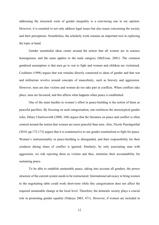addressing the structural roots of gender inequality is a convincing one in my opinion. However, it is essential to not only address legal issues but also issues concerning the society and their perceptions. Nonetheless, the scholarly work remains an important tool in exploring the topic at hand.

Gender essentialist ideas centre around the notion that all women are in essence homogenous, and the same applies to the male category (McEwan, 2001). The common gendered assumption is that men go to war to fight and women and children are victimised. Cockburn (1998) argues that war remains directly connected to ideas of gender and that war and militarism revolve around concepts of masculinity, such as bravery and aggression. However, men are also victims and women do too take part in conflicts. When conflicts take place, men are favoured, and this affects what happens when peace is established.

One of the main hurdles to women's effort in peace-building is the notion of them as peaceful pacifiers. By focusing on such categorisation, one reinforces the stereotypical gender roles. Hilary Charlesworth (2008, 348) argues that the literature on peace and conflict is often centred around the notion that women are more peaceful than men. Also, Nicole Puechguirbal (2010, pp.172-173) argues that it is counteractive to use gender essentialism to fight for peace. Women's instrumentality in peace-building is disregarded, and their responsibility for their conducts during times of conflict is ignored. Similarly, by only associating men with aggression, we risk rejecting them as victims and thus, minimise their accountability for sustaining peace.

To be able to establish sustainable peace, taking into account all genders, the power structure of the current system needs to be restructured. International advocacy to bring women to the negotiating table could work short-term while this categorisation does not affect the required sustainable change at the local level. Therefore, the domestic society plays a crucial role in promoting gender equality (Nakaya 2003, 471). However, if women are included in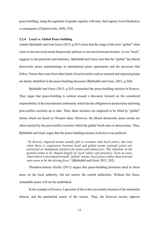peace-building, using the argument of gender equality with men, their agency is not blocked as a consequence (Charlesworth, 2008, 350).

#### **2.2.4 Local vs. Global Peace-building**

Annika Björkdahl and Ivan Gusic (2015, p.267) claim that the usage of the term "global" often refers to the universal moral frameworks and how it can travel between borders. As for "local", suggests to the particular and obstinacy. Björkdahl and Gusic note that the "global" has liberal democratic peace underpinnings in international peace agreements and the processes that follow. Norms that come from other kinds of social entities such as national and regional groups are barely identified in the peace-building discourse (Björkdahl and Gusic, 2015, p.268).

Björkdahl and Gusic (2015, p.265) researched the peace-building mission in Kosovo. They argue that peace-building is centred around a discourse focused on the considered responsibility of the international community which has the obligation to democratise and bring post-conflict societies up to date. Thus, these societies are supposed to be filled by "global" norms which are based on Western ideas. However, the liberal democratic peace norms are often resisted by the post-conflict societies which the global North aims to democratise. Thus, Björkdahl and Gusic argue that the peace-building mission in Kosovo was political:

*"In Kosovo, imposed norms usually fail to resonate with local actors, but even when there is congruence between local and global norms external actors are portrayed as inadequate partners for peace and democracy. The situation on the ground seems to be shaped largely by local values and practices. Even in cases where there is movement towards 'global' norms, local actors rather than external ones seem to be the driving force"* (Björkdahl and Gusic 2015, 282).

Theodora-Ismene Gizelis (2011) argues that peace-building processes need to focus more on the local authority, but not merely the central authorities. Without this focus, sustainable peace will not be established.

In the example of Kosovo, I speculate if this is the case mainly because of the nationalist rhetoric and the patriarchal nature of the society. Thus, the Kosovar society opposes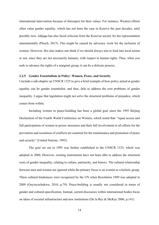international intervention because of disrespect for their values. For instance, Western efforts often value gender equality, which has not been the case in Kosovo the past decades, until possibly now. Jahjaga has also faced criticism from the Kosovar society for her representation internationally (Plesch, 2015). This might be caused by advocacy work for the inclusion of women. However, this also makes one think if we should always aim to feed into local norms or not, since they are not necessarily humane, with respect to human rights. Thus, when you seek to advance the rights of a marginal group, it can be a delicate process.

#### **2.2.5 Gender Essentialism in Policy: Women, Peace, and Security**

I include a sub-chapter on UNSCR 1325 to give a brief example of how policy aimed at gender equality can be gender essentialist, and thus, fails to address the root problems of gender inequality. I argue that legislation might not solve the structural problems of prejudice, which comes from within.

Including women in peace-building has been a global goal since the 1995 Beijing Declaration of the Fourth World Conference on Women, which noted that: "equal access and full participation of women in power structures and their full involvement in all efforts for the prevention and resolution of conflicts are essential for the maintenance and promotion of peace and security" (United Nations, 1995).

The goal set out in 1995 was further established in the UNSCR 1325, which was adopted in 2000. However, existing instruments have not been able to address the structural roots of gender inequality, relating to culture, patriarchy, and history. The cultural relationship between men and women are ignored while the primary focus is on women as a holistic group. These cultural hindrances were recognised by the UN when Resolution 1889 was adopted in 2009 (Onyinyechukwu, 2010, p.79). Peace-building is usually not considered in terms of gender and cultural-specification. Instead, current discourses within international bodies focus on ideas of societal infrastructure and new institutions (De la Rey & McKay 2006, p.141).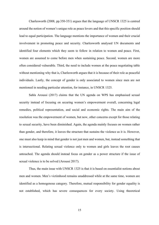Charlesworth (2008, pp.350-351) argues that the language of UNSCR 1325 is centred around the notion of women's unique role as peace lovers and that this specific position should lead to equal participation. The language mentions the importance of women and their crucial involvement in promoting peace and security. Charlesworth analysed UN documents and identified four elements which they seem to follow in relation to women and peace. First, women are assumed to come before men when sustaining peace. Second, women are more often considered vulnerable. Third, the need to include women at the peace negotiating table without mentioning why that is, Charlesworth argues that it is because of their role as peaceful individuals. Lastly, the concept of gender is only associated to women since men are not mentioned in needing particular attention, for instance, in UNSCR 1325.

Sahla Aroussi (2017) claims that the UN agenda on WPS has emphasised sexual security instead of focusing on securing women's empowerment overall, concerning legal remedies, political representation, and social and economic rights. The main aim of the resolution was the empowerment of women, but now, other concerns except for those relating to sexual security, have been diminished. Again, the agenda mainly focuses on women rather than gender, and therefore, it leaves the structure that sustains the violence as it is. However, one must also keep in mind that gender is not just men and women, but, instead something that is intersectional. Relating sexual violence only to women and girls leaves the root causes untouched. The agenda should instead focus on gender as a power structure if the issue of sexual violence is to be solved (Aroussi 2017).

Thus, the main issue with UNSCR 1325 is that it is based on essentialist notions about men and women. Men's victimhood remains unaddressed while at the same time, women are identified as a homogenous category. Therefore, mutual responsibility for gender equality is not established, which has severe consequences for every society. Using theoretical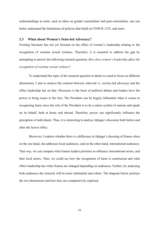understandings as tools, such as ideas on gender essentialism and post-colonialism, one can better understand the limitations of policies that build on UNSCR 1325, and more.

#### **2.3 What about Women's State-led Advocacy?**

Existing literature has not yet focused on the effect of women's leadership relating to the recognition of wartime sexual violence. Therefore, it is essential to address the gap by attempting to answer the following research question: *How does women's leadership affect the recognition of wartime sexual violence?*

To understand the topic of the research question in detail we need to focus on different dimensions. I aim to analyse the contrast between state-led vs. society-led advocacy and the effect leadership has on that. Discourse is the basis of political debate and leaders have the power to bring issues to the fore. The President can be hugely influential when it comes to recognising harm since the role of the President is to be a union symbol of nations and speak on its behalf, both at home and abroad. Therefore, power can significantly influence the perception of individuals. Thus, it is interesting to analyse Jahjaga's discourse both before and after she leaves office.

Moreover, I explore whether there is a difference in Jahjaga's choosing of frames when on the one hand, she addresses local audiences, and on the other hand, international audiences. That way, we can compare what frames leaders prioritise to influence international actors, and then local actors. Thus, we could see how the recognition of harm is constructed and what effect leadership has when frames are changed depending on audiences. Further, by analysing both audiences the research will be more substantial and robust. The diagram below portrays the two dimensions and how they are comparatively explored.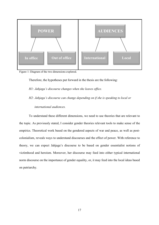

Figure 1: Diagram of the two dimensions explored.

Therefore, the hypotheses put forward in the thesis are the following:

*H1: Jahjaga's discourse changes when she leaves office.*

# *H2: Jahjaga's discourse can change depending on if she is speaking to local or international audiences.*

To understand these different dimensions, we need to use theories that are relevant to the topic. As previously stated, I consider gender theories relevant tools to make sense of the empirics. Theoretical work based on the gendered aspects of war and peace, as well as postcolonialism, reveals ways to understand discourses and the effect of power. With reference to theory, we can expect Jahjaga's discourse to be based on gender essentialist notions of victimhood and heroism. Moreover, her discourse may feed into either typical international norm discourse on the importance of gender equality, or, it may feed into the local ideas based on patriarchy.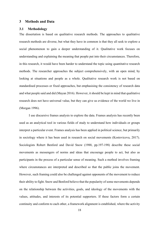#### **3 Methods and Data**

## **3.1 Methodology**

The dissertation is based on qualitative research methods. The approaches to qualitative research methods are diverse, but what they have in common is that they all seek to explore a social phenomenon to gain a deeper understanding of it. Qualitative work focuses on understanding and explaining the meaning that people put into their circumstances. Therefore, in this research, it would have been harder to understand the topic using quantitative research methods. The researcher approaches the subject comprehensively, with an open mind, by looking at situations and people as a whole. Qualitative research work is not based on standardised processes or fixed approaches, but emphasising the consistency of research data and what people said and did (Mayan 2016). However, it should be kept in mind that qualitative research does not have universal value, but they can give us evidence of the world we live in (Morgan 1996).

I use discursive frames analysis to explore the data. Frames analysis has recently been used as an analytical tool in various fields of study to understand how individuals or groups interpret a particular event. Frames analysis has been applied in political science, but primarily in sociology where it has been used in research on social movements (Kostovicova, 2017). Sociologists Robert Benford and David Snow (1988, pp.197-198) describe these social movements as messengers of norms and ideas that encourage people to act, but also as participants in the process of a particular sense of meaning. Such a method involves framing where circumstances are interpreted and described so that the public joins the movement. However, such framing could also be challenged against opponents of the movement to reduce their ability to fight. Snow and Benford believe that the popularity of some movements depends on the relationship between the activities, goals, and ideology of the movements with the values, attitudes, and interests of its potential supporters. If these factors form a certain continuity and conform to each other, a framework alignment is established, where the activity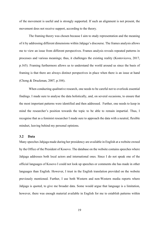of the movement is useful and is strongly supported. If such an alignment is not present, the movement does not receive support, according to the theory.

The framing theory was chosen because I aim to study representation and the meaning of it by addressing different dimensions within Jahjaga's discourse. The frames analysis allows me to view an issue from different perspectives. Frames analysis reveals repeated patterns in processes and various meanings; thus, it challenges the existing reality (Kostovicova, 2017, p.165). Framing furthermore allows us to understand the world around us since the basis of framing is that there are always distinct perspectives in place when there is an issue at hand (Chong & Druckman, 2007, p.104).

When conducting qualitative research, one needs to be careful not to overlook essential findings. I made sure to analyse the data holistically, and, on several occasions, to ensure that the most important patterns were identified and then addressed. Further, one needs to keep in mind the researcher's position towards the topic to be able to remain impartial. Thus, I recognise that as a feminist researcher I made sure to approach the data with a neutral, flexible mindset, leaving behind my personal opinions.

# **3.2 Data**

Many speeches Jahjaga made during her presidency are available in English at a website owned by the Office of the President of Kosovo. The database on the website contains speeches where Jahjaga addresses both local actors and international ones. Since I do not speak one of the official languages of Kosovo I could not look up speeches or comments she has made in other languages than English. However, I trust in the English translation provided on the website previously mentioned. Further, I use both Western and non-Western media reports where Jahjaga is quoted, to give me broader data. Some would argue that language is a limitation, however, there was enough material available in English for me to establish patterns within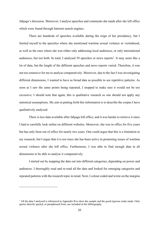Jahjaga's discourse. Moreover, I analyse speeches and comments she made after she left office which were found through Internet search engines.

There are hundreds of speeches available during the reign of her presidency, but I limited myself to the speeches where she mentioned wartime sexual violence or victimhood, as well as the ones where she was either only addressing local audiences, or only international audiences, but not both. In total, I analysed 39 speeches or news reports<sup>1</sup>. It may seem like a lot of data, but the length of the different speeches and news reports varied. Therefore, it was not too extensive for me to analyse comparatively. Moreover, due to the fact I was investigating different dimensions, I wanted to have as broad data as possible to see repetitive patterns. As soon as I saw the same points being repeated, I stopped to make sure it would not be too excessive. I should note that again, this is qualitative research so one should not apply any statistical assumptions. My aim in putting forth this information is to describe the corpus I have qualitatively analysed.

There is less data available after Jahjaga left office, and it was harder to retrieve it since I had to carefully look online on different websites. Moreover, she was in office for five years but has only been out of office for nearly two years. One could argue that this is a limitation to my research, but I argue that it is not since she has been active in promoting issues of wartime sexual violence after she left office. Furthermore, I was able to find enough data in all dimensions to be able to analyse it comparatively.

I started out by mapping the data out into different categories, depending on power and audiences. I thoroughly read and re-read all the data and looked for emerging categories and repeated patterns with the research topic in mind. Next, I colour coded and wrote on the margins

 $<sup>1</sup>$  All the data I analysed is referenced in Appendix B to show the sample and the good rigorous study made. Only</sup> quotes directly quoted, or paraphrased from, are included in the bibliography.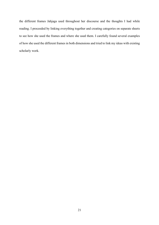the different frames Jahjaga used throughout her discourse and the thoughts I had while reading. I proceeded by linking everything together and creating categories on separate sheets to see how she used the frames and where she used them. I carefully found several examples of how she used the different frames in both dimensions and tried to link my ideas with existing scholarly work.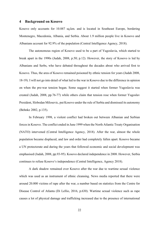#### **4 Background on Kosovo**

Kosovo only accounts for 10.887 sq.km. and is located in Southeast Europe, bordering Montenegro, Macedonia, Albania, and Serbia. About 1.9 million people live in Kosovo and Albanians account for 92.9% of the population (Central Intelligence Agency, 2018).

The autonomous region of Kosovo used to be a part of Yugoslavia, which started to break apart in the 1990s (Judah, 2008, p.50; p.12). However, the story of Kosovo is led by Albanians and Serbs, who have debated throughout the decades about who arrived first to Kosovo. Thus, the area of Kosovo remained poisoned by ethnic tension for years (Judah 2008, 18-19). I will not go into detail of what led to the war in Kosovo due to the difference in opinion on when the pre-war tension began. Some suggest it started when former Yugoslavia was created (Judah, 2008, pp.76-77) while others claim that tension rose when former Yugoslav President, Slobodan Milosevic, put Kosovo under the rule of Serbia and dismissed its autonomy (Behnke 2002, p.135).

In February 1998, a violent conflict had broken out between Albanian and Serbian forces in Kosovo. The conflict ended in June 1999 when the North Atlantic Treaty Organisation (NATO) intervened (Central Intelligence Agency, 2018). After the war, almost the whole population became displaced, and law and order had completely fallen apart. Kosovo became a UN protectorate and during the years that followed economic and social development was emphasised (Judah, 2008, pp.93-95). Kosovo declared independence in 2008. However, Serbia continues to refuse Kosovo's independence (Central Intelligence, Agency 2018).

A dark shadow remained over Kosovo after the war due to wartime sexual violence which was used as an instrument of ethnic cleansing. News media reported that there were around 20.000 victims of rape after the war, a number based on statistics from the Centre for Disease Control of Atlanta (Di Lellio, 2016, p.630). Wartime sexual violence such as rape causes a lot of physical damage and trafficking increased due to the presence of international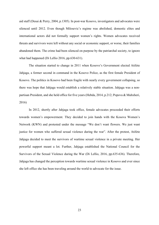aid staff (Desai & Perry, 2004, p.1305). In post-war Kosovo, investigators and advocates were silenced until 2012. Even though Milosevic's regime was abolished, domestic elites and international actors did not formally support women's rights. Women advocates received threats and survivors were left without any social or economic support, or worse, their families abandoned them. The crime had been silenced on purpose by the patriarchal society, to ignore what had happened (Di Lellio 2016, pp.630-631).

The situation started to change in 2011 when Kosovo's Government elected Atifete Jahjaga, a former second in command in the Kosovo Police, as the first female President of Kosovo. The politics in Kosovo had been fragile with nearly every government collapsing, so there was hope that Jahjaga would establish a relatively stable situation. Jahjaga was a nonpartisan President, and she held office for five years (Hebda, 2014, p.212; Popova & Muhxheri, 2016)

In 2012, shortly after Jahjaga took office, female advocates proceeded their efforts towards women's empowerment. They decided to join hands with the Kosova Women's Network (KWN) and protested under the message "We don't want flowers. We just want justice for women who suffered sexual violence during the war". After the protest, Atifete Jahjaga decided to meet the survivors of wartime sexual violence in a private meeting. Her powerful support meant a lot. Further, Jahjaga established the National Council for the Survivors of the Sexual Violence during the War (Di Lellio, 2016, pp.635-636). Therefore, Jahjaga has changed the perception towards wartime sexual violence in Kosovo and ever since she left office she has been traveling around the world to advocate for the issue.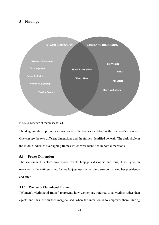# **5 Findings**



Figure 2: Diagram of frames identified.

The diagram above provides an overview of the frames identified within Jahjaga's discourse. One can see the two different dimensions and the frames identified beneath. The dark circle in the middle indicates overlapping frames which were identified in both dimensions.

# **5.1 Power Dimension**

The section will explore how power affects Jahjaga's discourse and thus, it will give an overview of the extinguishing frames Jahjaga uses in her discourse both during her presidency and after.

# **5.1.1 Women's Victimhood Frame**

"Women's victimhood frame" represents how women are referred to as victims rather than agents and thus, are further marginalised, when the intention is to empower them. During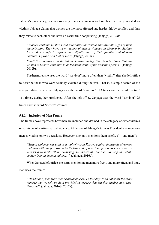Jahjaga's presidency, she occasionally frames women who have been sexually violated as victims. Jahjaga claims that women are the most affected and hardest hit by conflict, and thus they relate to each other and have an easier time cooperating (Jahjaga, 2012a):

*"Women continue to strain and internalize the visible and invisible signs of their victimisation. They have been victims of sexual violence in Kosovo by Serbian forces that sought to repress their dignity, that of their families and of their children. Of rape as a tool of war"* (Jahjaga, 2014a).

*"Statistical research conducted in Kosovo during this decade shows that the woman in Kosovo continues to be the main victim of the transition period"* (Jahjaga 2012b).

Furthermore, she uses the word "survivor" more often than "victim" after she left office to describe those who were sexually violated during the war. That is, a simple search of the analysed data reveals that Jahjaga uses the word "survivor" 113 times and the word "victim" 111 times, during her presidency. After she left office, Jahjaga uses the word "survivor" 95 times and the word "victim" 59 times.

# **5.1.2 Inclusion of Men Frame**

The frame above represents how men are included and defined in the category of either victims

or survivors of wartime sexual violence. At the end of Jahjaga's term as President, she mentions

men as victims on two occasions. However, she only mentions them briefly ("…and men"):

*"Sexual violence was used as a tool of war in Kosovo against thousands of women and men with the purpose to incite fear and oppression upon innocent citizens, it was used to incite ethnic cleansing, to emasculate the men, to strip the whole society from its human values…."* (Jahjaga, 2016a).

When Jahjaga left office she starts mentioning men more freely and more often, and thus,

stabilises the frame:

*"Hundreds of men were also sexually abused. To this day we do not know the exact number, but we rely on data provided by experts that put this number at twentythousand"* (Jahjaga, 2016b; 2017a).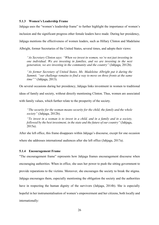## **5.1.3 Women's Leadership Frame**

Jahjaga uses the "women's leadership frame" to further highlight the importance of women's inclusion and the significant progress other female leaders have made. During her presidency, Jahjaga mentions the effectiveness of women leaders, such as Hillary Clinton and Madelaine Albright, former Secretaries of the United States, several times, and adopts their views:

*"As Secretary Clinton says: "When we invest in women, we're not just investing in one individual. We are investing in families, and we are investing in the next generation, we are investing in the community and the country"* (Jahjaga, 2012b).

*"As former Secretary of United States, Ms. Madeleine Albright put it during the Summit, "our challenge remains to find a way to move on three fronts at the same time""* (Jahjaga, 2013).

On several occasions during her presidency, Jahjaga links investment in women to traditional

ideas of family and society, without directly mentioning Clinton. Thus, women are associated

with family values, which further relate to the prosperity of the society.

*"The security for the woman means security for the child, the family and the whole society"* (Jahjaga, 2012b).

*"To invest in a woman is to invest in a child, and in a family and in a society, followed by the best investment, in the state and the future of our country"* (Jahjaga, 2015a).

After she left office, this frame disappears within Jahjaga's discourse, except for one occasion where she addresses international audiences after she left office (Jahjaga, 2017a).

## **5.1.4 Encouragement Frame**

"The encouragement frame" represents how Jahjaga frames encouragement discourse when encouraging authorities. When in office, she uses her power to push the sitting government to provide reparations to the victims. Moreover, she encourages the society to break the stigma. Jahjaga encourages them, especially mentioning the obligation the society and the authorities have in respecting the human dignity of the survivors (Jahjaga, 2014b). She is especially hopeful in her instrumentalisation of women's empowerment and her citizens, both locally and internationally: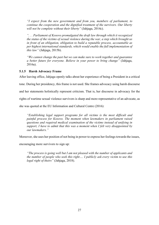*"I expect from the new government and from you, members of parliament, to continue the cooperation and the dignified treatment of the survivors. Our liberty will not be complete without their liberty"* (Jahjaga, 2014c).

*". . . Parliament of Kosovo promulgated the draft law through which it recognized the status of the victims of sexual violence during the war, a step which brought us in front of an obligation, obligation to build a reputable process, accountable as per highest international standards, which would enable the full implementation of this law"* (Jahjaga, 2015b).

*"We cannot change the past but we can make sure to work together and guarantee a better future for everyone. Believe in your power to bring change"* (Jahjaga, 2016a).

# **5.1.5 Harsh Advocacy Frame**

After leaving office, Jahjaga openly talks about her experience of being a President in a critical

tone. During her presidency, this frame is not used. She frames advocacy using harsh discourse

and her statements holistically represent criticism. That is, her discourse in advocacy for the

rights of wartime sexual violence survivors is sharp and more representative of an advocate, as

she was quoted at the EU Information and Cultural Centre (2016):

*"Establishing legal support programs for all victims is the most difficult and painful process for Kosovo. The moment when lawmakers in parliament raised questions and required medical examination of the victims instead of unifying in support, I have to admit that this was a moment when I felt very disappointed by our lawmakers."*

Moreover, she uses her position of not being in power to express her feelings towards the issues,

encouraging more survivors to sign up:

*"The process is going well but I am not pleased with the number of applicants and the number of people who seek this right…. I publicly ask every victim to use this legal right of theirs"* (Jahjaga, 2018).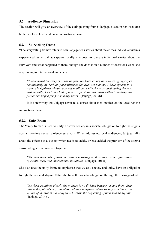# **5.2 Audience Dimension**

The section will give an overview of the extinguishing frames Jahjaga's used in her discourse

both on a local level and on an international level.

# **5.2.1 Storytelling Frame**

"The storytelling frame" refers to how Jahjaga tells stories about the crimes individual victims experienced. When Jahjaga speaks locally, she does not discuss individual stories about the survivors and what happened to them, though she does it on a number of occasions when she is speaking to international audiences:

*"I have heard the story of a woman from the Drenica region who was gang-raped continuously by Serbian paramilitaries for over six months. I have spoken to a woman in Gjakova whose body was mutilated while she was raped during the war. Just recently, I met the child of a war rape victim who died without receiving the justice she hoped for, for so many years"* (Jahjaga, 2017b).

It is noteworthy that Jahjaga never tells stories about men, neither on the local nor the international level.

# **5.2.2 Unity Frame**

The "unity frame" is used to unify Kosovar society in a societal obligation to fight the stigma

against wartime sexual violence survivors. When addressing local audiences, Jahjaga talks

about the citizens as a society which needs to tackle, or has tackled the problem of the stigma

surrounding sexual violence together:

*"We have done lots of work in awareness raising on this crime, with organisation of events, local and international initiatives"* (Jahjaga, 2015c).

She also uses the unity frame to emphasise that we as a society and unity, have an obligation

to fight the societal stigma. Often she links the societal obligation through the message of art:

*"As these paintings clearly show, there is no division between us and them- their pain is the pain of every one of us and the engagement of the society with this grave wound of the war is our obligation towards the respecting of their human dignity"*  (Jahjaga, 2014b).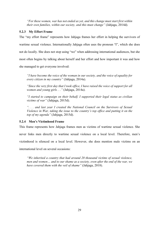*"For these women, war has not ended as yet, and this change must start first within their own families, within our society, and this must change"* (Jahjaga, 2014d).

# **5.2.3 My Effort Frame**

The "my effort frame" represents how Jahjaga frames her effort in helping the survivors of wartime sexual violence. Internationally Jahjaga often uses the pronoun "I", which she does not do locally. She does not stop using "we" when addressing international audiences, but she most often begins by talking about herself and her effort and how important it was and how she managed to get everyone involved:

*"I have become the voice of the woman in our society, and the voice of equality for every citizen in my country"* (Jahjaga, 2014a).

*"Since the very first day that I took office, I have raised the voice of support for all women and young girls. . ."* (Jahjaga, 2014a).

*"I started to campaign on their behalf, I supported their legal status as civilian victims of war"* (Jahjaga, 2015d).

*". . . and last year I created the National Council on the Survivors of Sexual Violence in War, taking the issue to the country's top office and putting it on the top of my agenda"* (Jahjaga, 2015d).

# **5.2.4 Men's Victimhood Frame**

This frame represents how Jahjaga frames men as victims of wartime sexual violence. She

never links men directly to wartime sexual violence on a local level. Therefore, men's

victimhood is silenced on a local level. However, she does mention male victims on an

international level on several occasions:

*"We inherited a country that had around 20 thousand victims of sexual violence, men and women… and to our shame as a society, even after the end of the war, we have covered them with the veil of shame"* (Jahjaga, 2018).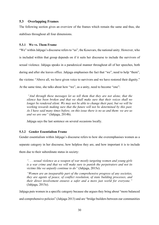# **5.3 Overlapping Frames**

The following section gives an overview of the frames which remain the same and thus, she stabilises throughout all four dimensions.

# **5.3.1 We vs. Them Frame**

"We" within Jahjaga's discourse refers to "us", the Kosovars, the national unity. However, who is included within that group depends on if it suits her discourse to include the survivors of sexual violence. Jahjaga speaks in a paradoxical manner throughout all of her speeches, both during and after she leaves office. Jahjaga emphasises the fact that "we", need to help "them", the victims: "Above all, we have given voice to survivors and we have restored their dignity." At the same time, she talks about how "we", as a unity, need to become "one":

*"And through these messages let us tell them that they are not alone, that the silence has been broken and that we shall make sure that their voices shall no longer be rendered silent. We may not be able to change their past, but we will be working towards making sure that the future will not be determined by this past. As I have said many times before, on this issue there is no us and them- we are us and we are one"* (Jahjaga, 2014b).

Jahjaga says the last sentence on several occasions locally.

# **5.3.2 Gender Essentialism Frame**

Gender essentialism within Jahjaga's discourse refers to how she overemphasises women as a

separate category in her discourse, how helpless they are, and how important it is to include

them due to their subordinate status in society:

*". . . sexual violence as a weapon of war mostly targeting women and young girls is a war crime and that we will make sure to punish the perpetrators and not its victims like we unjustly continue to do"* (Jahjaga, 2015e).

*"Women are an inseparable part of the comprehensive progress of any societies, they are agents of peace, of conflict resolution, of state building processes, and their direct involvement ensures a safer and a more just world for everyone."*  (Jahjaga, 2015e).

Jahjaga puts women in a specific category because she argues they bring about "more balanced

and comprehensive policies" (Jahjaga 2013) and are "bridge builders between our communities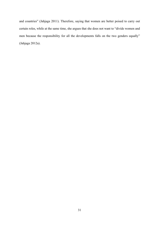and countries" (Jahjaga 2011). Therefore, saying that women are better poised to carry out certain roles, while at the same time, she argues that she does not want to "divide women and men because the responsibility for all the developments falls on the two genders equally" (Jahjaga 2012a).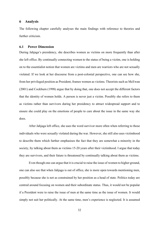## **6 Analysis**

The following chapter carefully analyses the main findings with reference to theories and further criticism.

#### **6.1 Power Dimension**

During Jahjaga's presidency, she describes women as victims on more frequently than after she left office. By continually connecting women to the status of being a victim, one is holding on to the essentialist notion that women are victims and men are warriors who are not sexually violated. If we look at her discourse from a post-colonial perspective, one can see how she, from her privileged position as President, frames women as victims. Theorists such as McEwan (2001) and Cockburn (1998) argue that by doing that, one does not accept the different factors that the identity of women holds. A person is never just a victim. Possibly she refers to them as victims rather than survivors during her presidency to attract widespread support and to ensure she could play on the emotions of people to care about the issue in the same way she does.

After Jahjaga left office, she uses the word survivor more often when referring to those individuals who were sexually violated during the war. However, she still also uses victimhood to describe them which further emphasises the fact that they are somewhat a minority in the society, by talking about them as victims 15-20 years after their victimhood. I argue that today they are survivors, and their future is threatened by continually talking about them as victims.

Even though one can argue that it is crucial to raise the issue of women to higher ground, one can also see that when Jahjaga is out of office, she is more open towards mentioning men, possibly because she is not as constrained by her position as a head of state. Politics today are centred around focusing on women and their subordinate status. Thus, it would not be popular if a President were to raise the issue of men at the same time as the issue of women. It would simply not suit her politically. At the same time, men's experience is neglected. It is assumed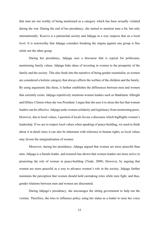that men are not worthy of being mentioned as a category which has been sexually violated during the war. During the end of her presidency, she started to mention men a bit, but only internationally. Kosovo is a patriarchal society and Jahjaga in a way respects that on a local level. It is noteworthy that Jahjaga considers breaking the stigma against one group is fine while not the other group.

During her presidency, Jahjaga uses a discourse that is typical for politicians, mentioning family values. Jahjaga links ideas of investing in women to the prosperity of the family and the society. This also feeds into the narrative of being gender essentialist, as women are considered a holistic category that always affects the welfare of the children and the family. By using arguments like these, it further establishes the differences between men and women that currently exists. Jahjaga repetitively mentions women leaders such as Madelaine Albright and Hillary Clinton when she was President. I argue that she uses it to stress the fact that women leaders can be effective. Jahjaga seeks women solidarity and legitimacy from mentioning peers. However, due to local values, I question if locals favour a discourse which highlights women's leadership. If we are to respect local values when speaking of peace-building, we need to think about it in detail since it can also be inhumane with reference to human rights, as local values may favour the marginalisation of women.

Moreover, during her presidency, Jahjaga argued that women are more peaceful than men. Jahjaga is a female leader, and research has shown that women leaders are more active in promoting the role of women in peace-building (Tinde, 2009). However, by arguing that women are more peaceful as a way to advance women's role in the society, Jahjaga further maintains the perception that women should hold caretaking roles while men fight, and thus, gender relations between men and women are discounted.

During Jahjaga's presidency, she encourages the sitting government to help out the victims. Therefore, she tries to influence policy using her status as a leader to raise her voice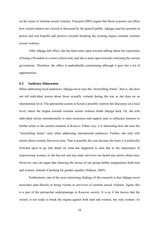on the issues of wartime sexual violence. Foucault (2003) argues that those in power can affect how certain matters are viewed or discussed by the general public. Jahjaga used her position in power and was hopeful and positive towards breaking the existing stigma towards wartime sexual violence.

After Jahjaga left office, she has been more open towards talking about her experience of being a President in a more critical note, and she is more open towards criticising the current government. Therefore, the office is undoubtedly constraining although it gave her a lot of opportunities.

# **6.2 Audience Dimension**

When addressing local audiences, Jahjaga never uses the "storytelling frame", that is, she does not tell individual stories about those sexually violated during the war as she does on an international level. The patriarchal system in Kosovo possibly restricts her discourse on a local level, where the stigma towards wartime sexual violence holds Jahjaga back. Or, she tells individual stories internationally to raise awareness and support and, to influence listeners to further relate to the current situation in Kosovo. Either way, it is interesting how she uses the "storytelling frame" only when addressing international audiences. Further, she only tells stories about women, but never men. That is possibly the case because she fears it is politically frowned upon to go into detail on what has happened to men due to the importance of empowering women, or she has not met any male survivors nor heard any stories about men. However, one can argue that silencing the stories of one group further marginalises both men and women, instead of pushing for gender equality (Nakaya, 2003).

Furthermore, one of the most interesting findings of this research is that Jahjaga never associates men directly as being victims or survivors of wartime sexual violence. Again, this is a part of the patriarchal underpinnings in Kosovar society. It is as if she knows that the society is not ready to break the stigma against both men and women, but only women. As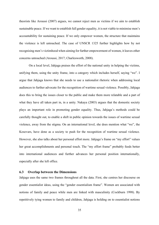theorists like Aroussi (2007) argues, we cannot reject men as victims if we aim to establish sustainable peace. If we want to establish full gender equality, it is not viable to minimise men's accountability for sustaining peace. If we only empower women, the structure that maintains the violence is left untouched. The case of UNSCR 1325 further highlights how by not recognising men's victimhood when aiming for further empowerment of women, it leaves other concerns untouched (Aroussi, 2017; Charlesworth, 2008).

On a local level, Jahjaga praises the effort of the national unity in helping the victims, unifying them, using the unity frame, into a category which includes herself, saying "we". I argue that Jahjaga knows that she needs to use a nationalist rhetoric when addressing local audiences to further advocate for the recognition of wartime sexual violence. Possibly, Jahjaga does this to bring the issues closer to the public and make them more relatable and a part of what they have all taken part in, in a unity. Nakaya (2003) argues that the domestic society plays an important role in promoting gender equality. Thus, Jahjaga's methods could be carefully thought out, to enable a shift in public opinion towards the issues of wartime sexual violence, away from the stigma. On an international level, she does mention what "we", the Kosovars, have done as a society to push for the recognition of wartime sexual violence. However, she also talks about her personal effort more. Jahjaga's frame on "my effort" values her great accomplishments and personal touch. The "my effort frame" probably feeds better into international audiences and further advances her personal position internationally, especially after she left office.

## **6.3 Overlap between the Dimensions**

Jahjaga uses the same two frames throughout all the data. First, she centres her discourse on gender essentialist ideas, using the "gender essentialism frame". Women are associated with notions of family and peace while men are linked with masculinity (Cockburn 1998). By repetitively tying women to family and children, Jahjaga is holding on to essentialist notions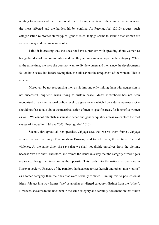relating to women and their traditional role of being a caretaker. She claims that women are the most affected and the hardest hit by conflict. As Puechguirbal (2010) argues, such categorisation reinforces stereotypical gender roles. Jahjaga seems to assume that women are a certain way and that men are another.

I find it interesting that she does not have a problem with speaking about women as bridge builders of our communities and that they are in somewhat a particular category. While at the same time, she says she does not want to divide women and men since the developments fall on both sexes, but before saying that, she talks about the uniqueness of the woman. This is a paradox.

Moreover, by not recognising men as victims and only linking them with aggression is not successful long-term when trying to sustain peace. Men's victimhood has not been recognised on an international policy level to a great extent which I consider a weakness. One should not fear to talk about the marginalisation of men in specific areas, for it benefits women as well. We cannot establish sustainable peace and gender equality unless we explore the root causes of inequality (Nakaya 2003; Puechguirbal 2010).

Second, throughout all her speeches, Jahjaga uses the "we vs. them frame". Jahjaga argues that we, the unity of nationals in Kosovo, need to help them, the victims of sexual violence. At the same time, she says that we shall not divide ourselves from the victims, because "we are one". Therefore, she frames the issues in a way that the category of "we" gets separated, though her intention is the opposite. This feeds into the nationalist overtone in Kosovar society. Unaware of the paradox, Jahjaga categorises herself and other "non-victims" as another category than the ones that were sexually violated. Linking this to post-colonial ideas, Jahjaga in a way frames "we" as another privileged category, distinct from the "other". However, she aims to include them in the same category and certainly does mention that "there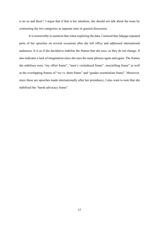is no us and them", I argue that if that is her intention, she should not talk about the issue by contrasting the two categories as separate ones in general discussion.

It is noteworthy to mention that when exploring the data, I noticed that Jahjaga repeated parts of her speeches on several occasions after she left office and addressed international audiences. It is as if she decided to stabilise the frames that she uses, so they do not change. It also indicates a lack of imagination since she uses the same phrases again and again. The frames she stabilises were "my effort frame", "men's victimhood frame", storytelling frame" as well as the overlapping frames of "we vs. them frame" and "gender essentialism frame". Moreover, since these are speeches made internationally after her presidency, I also want to note that she stabilised the "harsh advocacy frame".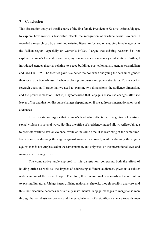# **7 Conclusion**

This dissertation analysed the discourse of the first female President in Kosovo, Atifete Jahjaga, to explore how women's leadership affects the recognition of wartime sexual violence. I revealed a research gap by examining existing literature focused on studying female agency in the Balkan region, especially on women's NGOs. I argue that existing research has not explored women's leadership and thus, my research made a necessary contribution. Further, I introduced gender theories relating to peace-building, post-colonialism, gender essentialism and UNSCR 1325. The theories gave us a better toolbox when analysing the data since gender theories are particularly useful when exploring discourses and power structures. To answer the research question, I argue that we need to examine two dimensions, the audience dimension, and the power dimension. That is, I hypothesised that Jahjaga's discourse changes after she leaves office and that her discourse changes depending on if she addresses international or local audiences.

This dissertation argues that women's leadership affects the recognition of wartime sexual violence in several ways. Holding the office of presidency indeed allows Atifete Jahjaga to promote wartime sexual violence, while at the same time, it is restricting at the same time. For instance, addressing the stigma against women is allowed, while addressing the stigma against men is not emphasised in the same manner, and only tried on the international level and mainly after leaving office.

The comparative angle explored in this dissertation, comparing both the effect of holding office as well as, the impact of addressing different audiences, gives us a subtler understanding of the research topic. Therefore, this research makes a significant contribution to existing literature. Jahjaga keeps utilising nationalist rhetoric, though possibly unaware, and thus, her discourse becomes substantially instrumental. Jahjaga manages to marginalise men through her emphasis on women and the establishment of a significant silence towards men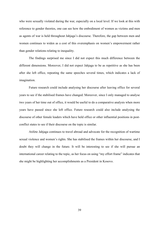who were sexually violated during the war, especially on a local level. If we look at this with reference to gender theories, one can see how the embodiment of women as victims and men as agents of war is held throughout Jahjaga's discourse. Therefore, the gap between men and women continues to widen as a cost of this overemphasis on women's empowerment rather than gender relations relating to inequality.

The findings surprised me since I did not expect this much difference between the different dimensions. Moreover, I did not expect Jahjaga to be as repetitive as she has been after she left office, repeating the same speeches several times, which indicates a lack of imagination.

Future research could include analysing her discourse after leaving office for several years to see if the stabilised frames have changed. Moreover, since I only managed to analyse two years of her time out of office, it would be useful to do a comparative analysis when more years have passed since she left office. Future research could also include analysing the discourse of other female leaders which have held office or other influential positions in postconflict states to see if their discourse on the topic is similar.

Atifete Jahjaga continues to travel abroad and advocate for the recognition of wartime sexual violence and women's rights. She has stabilised the frames within her discourse, and I doubt they will change in the future. It will be interesting to see if she will pursue an international career relating to the topic, as her focus on using "my effort frame" indicates that she might be highlighting her accomplishments as a President in Kosovo.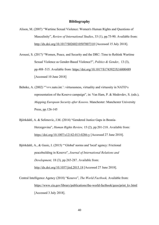## **Bibliography**

- Alison, M. (2007) "Wartime Sexual Violence: Women's Human Rights and Questions of Masculinity", *Review of International Studies*, 33 (1), pp.75-90. Available from: http://dx.doi.org/10.1017/S0260210507007310 [Accessed 15 July 2018].
- Aroussi, S. (2017) "Women, Peace, and Security and the DRC: Time to Rethink Wartime Sexual Violence as Gender-Based Violence?", *Politics & Gender*, 13 (3), pp.488–515. Available from: https://doi.org/10.1017/S1743923X16000489 [Accessed 10 June 2018]
- Behnke, A. (2002) "'vvv.nato.int.': virtuousness, virtuality and virtuosity in NATO's representation of the Kosovo campaign", in: Van Ham, P. & Medevdev, S. (eds.), *Mapping European Security after Kosovo.* Manchester: Manchester University Press, pp.126-145
- Björkdahl, A. & Selimovic, J.M. (2014) "Gendered Justice Gaps in Bosnia-Herzegovina", *Human Rights Review,* 15 (2), pp.201-218. Available from: https://doi.org/10.1007/s12142-013-0286-y [Accessed 27 June 2018].
- Björkdahl, A., & Gusic, I. (2015) "'Global' norms and 'local' agency: Frictional peacebuilding in Kosovo", *Journal of International Relations and Development,* 18 (3), pp.265-287. Available from: http://dx.doi.org/10.1057/jird.2015.18 [Accessed 27 June 2018].
- Central Intelligence Agency (2018) "Kosovo", *The World Factbook,* Available from: https://www.cia.gov/library/publications/the-world-factbook/geos/print\_kv.html [Accessed 3 July 2018].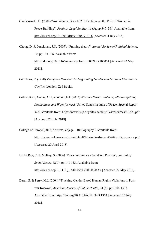Charlesworth, H. (2008) "Are Women Peaceful? Reflections on the Role of Women in Peace-Building", *Feminist Legal Studies*, 16 (3), pp.347–361. Available from: http://dx.doi.org/10.1007/s10691-008-9101-6 [Accessed 4 July 2018].

Chong, D. & Druckman, J.N. (2007), "Framing theory", *Annual Review of Political Science,*  10, pp.103-126. Available from: https://doi.org/10.1146/annurev.polisci.10.072805.103054 [Accessed 22 May 2018].

- Cockburn, C. (1998) *The Space Between Us: Negotiating Gender and National Identities in Conflict.* London: Zed Books.
- Cohen, K.C., Green, A.H, & Wood, E.J. (2013) *Wartime Sexual Violence, Misconceptions, Implications and Ways forward.* United States Institute of Peace. Special Report 323. Available from: https://www.usip.org/sites/default/files/resources/SR323.pdf [Accessed 20 July 2018].
- College of Europe (2018) "Atifete Jahjaga Bibliography". Available from: https://www.coleurope.eu/sites/default/files/uploads/event/atifete\_jahjaga-\_cv.pdf [Accessed 20 April 2018].
- De La Rey, C. & McKay, S. (2006) "Peacebuilding as a Gendered Process", *Journal of Social Issues,* 62(1), pp.141-153. Available from: http://dx.doi.org/10.1111/j.1540-4560.2006.00443.x [Accessed 22 May 2018].
- Desai, S. & Perry, M.J. (2004) "Tracking Gender-Based Human Rights Violations in Postwar Kosovo", *American Journal of Public Health*, 94 (8), pp.1304-1307. Available from: https://doi.org/10.2105/AJPH.94.8.1304 [Accessed 20 July 2018].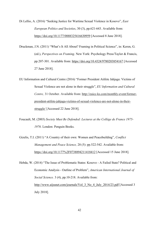Di Lellio, A. (2016) "Seeking Justice for Wartime Sexual Violence in Kosovo", *East European Politics and Societies*, 30 (3), pp.621-643. Available from: https://doi.org/10.1177/0888325416630959 [Accessed 8 June 2018].

Druckman, J.N. (2011) "What's It All About? Framing in Political Science", in: Keren, G. (ed.), *Perspectives on Framing*. New York: Psychology Press/Taylor & Francis, pp.207-301. Available from: https://doi.org/10.4324/9780203854167 [Accessed 27 June 2018].

EU Information and Cultural Centre (2016) "Former President Atifete Jahjaga: Victims of Sexual Violence are not alone in their struggle", *EU Information and Cultural Centre,* 31 October. Available from: http://euicc-ks.com/monthly-event/formerpresident-atifete-jahjaga-victims-of-sexual-violence-are-not-alone-in-theirstruggle/ [Accessed 22 June 2018].

Foucault, M. (2003) *Society Must Be Defended: Lectures at the Collège de France 1975- 1976*. London: Penguin Books.

Gizelis, T.I. (2011) "A Country of their own: Women and Peacebuilding", *Conflict Management and Peace Science,* 28 (5): pp.522-542. Available from: https://doi.org/10.1177%2F0738894211418412 [Accessed 15 June 2018].

Hebda, W. (2014) "The Issue of Problematic States: Kosovo - A Failed State? Political and Economic Analysis - Outline of Problem", *American International Journal of Social Science.* 3 (4), pp.10-218. Available from: http://www.aijssnet.com/journals/Vol\_3\_No\_4\_July\_2014/23.pdf [Accessed 3 July 2018].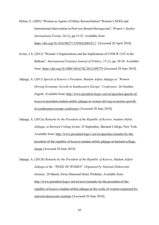Helms, E. (2003) "Women as Agents of Ethnic Reconciliation? Women's NGOs and International Intervention in Post-war Bosnia-Herzegovina", *Women´s Studies International Forum,* 26 (1), pp.15-33. Available from: https://doi.org/10.1016/S0277-5395(02)00352-7 [Accessed 20 April 2018].

Irvine, J.A. (2012) "Women's Organizations and the Implications of UNSCR 1325 in the Balkans", *International Feminist Journal of Politics,* 15 (1), pp. 20-38. Available from: https://doi.org/10.1080/14616742.2012.699779 [Accessed 28 June 2018].

Jahjaga, A. (2011) *Speech of Kosovo's President, Madam Atifete Jahjaga at "Women Driving Economic Growth in Southeastern Europe" Conference.* 26 October, Zagreb. Available from: http://www.president-ksgov.net/en/speeches/speech-ofkosovos-president-madam-atifete-jahjaga-at-women-driving-economic-growthin-southeastern-europe-conference [Accessed 20 June 2018].

Jahjaga, A. (2012a) *Remarks by the President of the Republic of Kosovo, madam Atifete Jahjaga, at Barnard College forum.* 25 September, Barnard College, New York. Available from: http://www.president-ksgov.net/en/speeches/remarks-by-thepresident-of-the-republic-of-kosovo-madam-atifete-jahjaga-at-barnard-collegeforum [Accessed 20 June 2018].

Jahjaga, A. (2012b) *Remarks by the President of the Republic of Kosovo, Madam Atifete Jahjaga at the "WEEK OF WOMEN" Organised by National Democratic Institute*, 20 March, Swiss Diamond Hotel, Prishtina. Available from: http://www.president-ksgov.net/en/news/remarks-by-the-president-of-therepublic-of-kosovo-madam-atifete-jahjaga-at-the-week-of-women-organized-bynational-democratic-institute [Accessed 20 June 2018].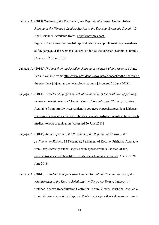Jahjaga, A. (2013) *Remarks of the President of the Republic of Kosovo, Madam Atifete Jahjaga at the Women's Leaders Session at the Eurasian Economic Summit.* 10 April, Istanbul. Available from: http://www.presidentksgov.net/en/news/remarks-of-the-president-of-the-republic-of-kosovo-madamatifete-jahjaga-at-the-womens-leaders-session-at-the-eurasian-economic-summit [Accessed 20 June 2018].

- Jahjaga, A. (2014a) *The speech of the President Jahjaga at women's global summit.* 6 June, Paris. Available from: http://www.president-ksgov.net/en/speeches/the-speech-ofthe-president-jahjaga-at-womens-global-summit [Accessed 20 June 2018].
- Jahjaga, A. (2014b) *President Jahjaga's speech at the opening of the exhibition of paintings by women beneficiaries of "Medica Kosova" organisation.* 26 June, Prishtina. Available from: http://www.president-ksgov.net/en/speeches/president-jahjagasspeech-at-the-opening-of-the-exhibition-of-paintings-by-women-beneficiaries-ofmedica-kosova-organization [Accessed 20 June 2018].
- Jahjaga, A. (2014c) *Annual speech of the President of the Republic of Kosovo at the parliament of Kosovo.* 18 December, Parliament of Kosovo, Prishtina. Available from: http://www.president-ksgov.net/en/speeches/annual-speech-of-thepresident-of-the-republic-of-kosovo-at-the-parliament-of-kosovo [Accessed 20 June 2018].
- Jahjaga, A. (2014d) *President Jahjaga's speech at marking of the 15th anniversary of the establishment of the Kosovo Rehabilitation Centre for Torture Victims.* 14 October, Kosovo Rehabilitation Centre for Torture Victims, Prishtina. Available from: http://www.president-ksgov.net/en/speeches/president-jahjagas-speech-at-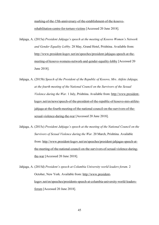marking-of-the-15th-anniversary-of-the-establishment-of-the-kosovorehabilitation-centre-for-torture-victims [Accessed 20 June 2018].

- Jahjaga, A. (2015a) *President Jahjaga's speech at the meeting of Kosovo Women's Network and Gender Equality Lobby.* 28 May, Grand Hotel, Prishtina. Available from: http://www.president-ksgov.net/en/speeches/president-jahjagas-speech-at-themeeting-of-kosovo-womens-network-and-gender-equality-lobby [Accessed 20 June 2018].
- Jahjaga, A. (2015b) *Speech of the President of the Republic of Kosovo, Mrs. Atifete Jahjaga, at the fourth meeting of the National Council on the Survivors of the Sexual Violence during the War.* 1 July, Prishtina. Available from: http://www.presidentksgov.net/en/news/speech-of-the-president-of-the-republic-of-kosovo-mrs-atifetejahjaga-at-the-fourth-meeting-of-the-national-council-on-the-survivors-of-thesexual-violence-during-the-war [Accessed 20 June 2018].
- Jahjaga, A. (2015c) *President Jahjaga's speech at the meeting of the National Council on the Survivors of Sexual Violence during the War.* 20 March, Prishtina. Available from: http://www.president-ksgov.net/en/speeches/president-jahjagas-speech-atthe-meeting-of-the-national-council-on-the-survivors-of-sexual-violence-duringthe-war [Accessed 20 June 2018].

Jahjaga, A. (2015d) *President's speech at Columbia University world leaders forum.* 2 October, New York. Available from: http://www.presidentksgov.net/en/speeches/presidents-speech-at-columbia-university-world-leadersforum [Accessed 20 June 2018].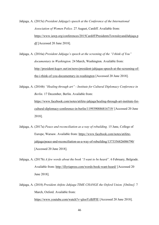Jahjaga, A. (2015e) *President Jahjaga's speech at the Conference of the International Association of Women Police.* 27 August, Cardiff. Available from: https://www.iawp.org/conferences/2015Cardiff/PresidentsTownsleyandJahjaga.p df [Accessed 20 June 2018].

Jahjaga, A. (2016a) *President Jahjaga's speech at the screening of the "I think of You" documentary in Washington.* 24 March, Washington. Available from: http://president-ksgov.net/en/news/president-jahjagas-speech-at-the-screening-ofthe-i-think-of-you-documentary-in-washington [Accessed 20 June 2018].

Jahjaga, A. (2016b) *"Healing through art" - Institute for Cultural Diplomacy Conference in Berlin.* 17 December, Berlin. Available from: https://www.facebook.com/notes/atifete-jahjaga/healing-through-art-institute-forcultural-diplomacy-conference-in-berlin/1199390886816719/ [Accessed 20 June 2018].

- Jahjaga, A. (2017a) *Peace and reconciliation as a way of rebuilding.* 15 June, College of Europe, Warsaw. Available from: https://www.facebook.com/notes/atifetejahjaga/peace-and-reconciliation-as-a-way-of-rebuilding/1373356826086790/ [Accessed 20 June 2018].
- Jahjaga, A. (2017b) *A few words about the book "I want to be heard".* 6 February, Belgrade. Available from: http://illyriapress.com/words-book-want-heard/ [Accessed 20 June 2018].
- Jahjaga, A. (2018) *President Atifete Jahjaga TIME CHANGE the Oxford Union. [Online].* 7 March, Oxford. Available from: https://www.youtube.com/watch?v=glooYzBJPJE [Accessed 20 June 2018].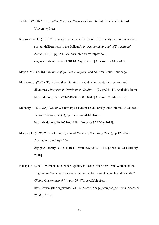Judah, J. (2008) *Kosovo: What Everyone Needs to Know*. Oxford; New York: Oxford University Press.

Kostovicova, D. (2017) "Seeking justice in a divided region: Text analysis of regional civil society deliberations in the Balkans", *International Journal of Transitional Justice*, 11 (1), pp.154-175. Available from: https://doiorg.gate3.library.lse.ac.uk/10.1093/ijtj/ijw023 [Accessed 22 May 2018].

Mayan, M.J. (2016) *Essentials of qualitative inquiry*. 2nd ed. New York: Routledge.

McEwan, C. (2001) "Postcolonialism, feminism and development: intersections and dilemmas", *Progress in Development Studies,* 1 (2), pp.93-111. Available from: https://doi.org/10.1177/146499340100100201 [Accessed 23 May 2018].

Mohanty, C.T. (1988) "Under Western Eyes: Feminist Scholarship and Colonial Discourses", *Feminist Review*, 30 (1), pp.61-88. Available from: http://dx.doi.org/10.1057/fr.1989.1 [Accessed 22 May 2018].

Morgan, D. (1996) "Focus Groups", *Annual Review of Sociology*, 22 (1), pp.129-152. Available from: https://doiorg.gate3.library.lse.ac.uk/10.1146/annurev.soc.22.1.129 [Accessed 21 February 2018].

Nakaya, S. (2003) "Women and Gender Equality in Peace Processes: From Women at the Negotiating Table to Post-war Structural Reforms in Guatemala and Somalia". *Global Governance*, 9 (4), pp.459–476. Available from: https://www.jstor.org/stable/27800497?seq=1#page\_scan\_tab\_contents [Accessed] 25 May 2018].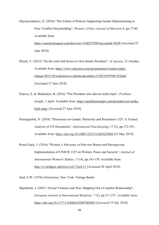Onyinyechukwu, O. (2010) "The Failure of Policies Supporting Gender Mainstreaming in Post- Conflict Peacebuilding", *Women's Policy Journal of Harvard*, 8, pp.77-80. Available from: https://search.proquest.com/docview/1548257050?accountid=9630 [Accessed 22 June 2018].

Plesch, V. (2015) "On the road with Kosovo's first female President", *Al Jazeera,* 21 October. Available from: https://www.aljazeera.com/programmes/women-makechange/2015/10/road-kosovo-female-president-151021070704139.html [Accessed 27 June 2018].

- Popova, E. & Muhaxheri, B. (2016) "The President who did not strike back", *Prishtina Insight,* 7 April. Available from: https://prishtinainsight.com/president-not-strikeback-mag/ [Accessed 27 June 2018].
- Puechguirbal, N. (2010) "Discourses on Gender, Patriarchy and Resolution 1325: A Textual Analysis of UN Documents", *International Peacekeeping*, 17 (2), pp.172-187, Available from: https://doi.org/10.1080/13533311003625068 [23 May 2018].

Rosul-Gajic, J. (2016) "Women 's Advocacy in Post-war Bosnia and Herzegovina. Implementation of UNSCR 1325 on Women, Peace and Security", *Journal of International Women's Studies,* 17 (4), pp.143-159. Available from: http://vc.bridgew.edu/jiws/vol17/iss4/11 [Accessed 20 April 2018].

Said, E.W. (1978) *Orientalism*. New York: Vintage Books

Skjelsbaek, I. (2001) "Sexual Violence and War: Mapping Out a Complex Relationship", *European Journal of International Relations,* 7 (2), pp.211-237. Available from: https://doi.org/10.1177/1354066101007002003 [Accessed 15 July 2018].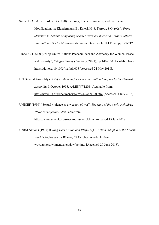Snow, D.A., & Benford, R.D. (1988) Ideology, Frame Resonance, and Participant Mobilization, in: Klandermans, B., Kriesi, H. & Tarrow, S.G. (eds.), *From Structure to Action: Comparing Social Movement Research Across Cultures, International Social Movement Research*. Greenwich: JAI Press, pp.197-217.

Tinde, G.T. (2009) "Top United Nations Peacebuilders and Advocacy for Women, Peace, and Security", *Refugee Survey Quarterly*, 28 (1), pp.140–150. Available from: https://doi.org/10.1093/rsq/hdp005 [Accessed 24 May 2018].

UN General Assembly (1993) *An Agenda for Peace: resolution (adopted by the General Assembly,* 8 October 1993, A/RES/47/120B. Available from: http://www.un.org/documents/ga/res/47/a47r120.htm [Accessed 3 July 2018].

UNICEF (1996) "Sexual violence as a weapon of war", *The state of the world's children 1996: News feature*. Available from:

https://www.unicef.org/sowc96pk/sexviol.htm [Accessed 15 July 2018].

United Nations (1995) *Beijing Declaration and Platform for Action, adopted at the Fourth World Conference on Women,* 27 October. Available from: www.un.org/womenwatch/daw/beijing/ [Accessed 20 June 2018].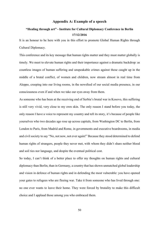## **Appendix A: Example of a speech**

# **"Healing through art" - Institute for Cultural Diplomacy Conference in Berlin 17/12/2016**

It is an honour to be here with you in this effort to promote Global Human Rights through Cultural Diplomacy.

This conference and its key message that human rights matter and they must matter globally is timely. We meet to elevate human rights and their importance against a dramatic backdrop: as countless images of human suffering and unspeakable crimes against those caught up in the middle of a brutal conflict, of women and children, now stream almost in real time from Aleppo, creeping into our living rooms, in the newsfeed of our social media presence, in our consciousness even if and when we take our eyes away from them.

As someone who has been at the receiving end of Serbia's brutal war in Kosovo, this suffering is still very vivid, very close to my own skin. The only reason I stand before you today, the only reason I have a voice to represent my country and tell its story, it's because of people like yourselves who two decades ago rose up across capitals, from Washington DC to Berlin, from London to Paris, from Madrid and Rome, in governments and executive boardrooms, in media and civil society to say "No, not now, not ever again!" Because they stood determined to defend human rights of strangers, people they never met, with whom they didn't share neither blood and soil ties nor language, and despite the eventual political cost.

So today, I can't think of a better place to offer my thoughts on human rights and cultural diplomacy than Berlin, than in Germany, a country that has shown unmatched global leadership and vision in defence of human rights and in defending the most vulnerable: you have opened your gates to refugees who are fleeing war. Take it from someone who has lived through one: no one ever wants to leave their home. They were forced by brutality to make this difficult choice and I applaud those among you who embraced them.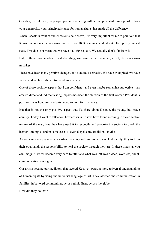One day, just like me, the people you are sheltering will be that powerful living proof of how your generosity, your principled stance for human rights, has made all the difference.

When I speak in front of audiences outside Kosovo, it is very important for me to point out that Kosovo is no longer a war-torn country. Since 2008 is an independent state, Europe's youngest state. This does not mean that we have it all figured out. We actually don't, far from it.

But, in these two decades of state-building, we have learned so much, mostly from our own mistakes.

There have been many positive changes, and numerous setbacks. We have triumphed, we have fallen, and we have shown tremendous resilience.

One of those positive aspects that I am confident - and even maybe somewhat subjective - has created direct and indirect lasting impacts has been the election of the first woman President, a position I was honoured and privileged to hold for five years.

But that is not the only positive aspect that I'd share about Kosovo, the young, but brave country. Today, I want to talk about how artists in Kosovo have found meaning in the collective trauma of the war, how they have used it to reconcile and provoke the society to break the barriers among us and in some cases to even dispel some traditional myths.

As witnesses to a physically devastated country and emotionally wrecked society, they took on their own hands the responsibility to heal the society through their art. In these times, as you can imagine, words became very hard to utter and what was left was a deep, wordless, silent, communication among us.

Our artists became our mediators that steered Kosovo toward a more universal understanding of human rights by using the universal language of art. They assisted the communication in families, in battered communities, across ethnic lines, across the globe.

How did they do that?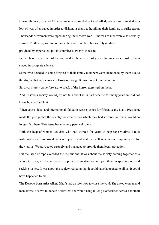During the war, Kosovo Albanian men were singled out and killed; women were treated as a loot of war, often raped in order to dishonour them, to humiliate their families, to strike terror. Thousands of women were raped during the Kosovo war. Hundreds of men were also sexually abused. To this day we do not know the exact number, but we rely on data provided by experts that put this number at twenty-thousand.

In the chaotic aftermath of the war, and in the absence of justice for survivors, most of them stayed in complete silence.

Some who decided to come forward to their family members were abandoned by them due to the stigma that rape carries in Kosovo, though Kosovo is not unique in this.

Survivors rarely came forward to speak of the horror exercised on them.

And Kosovo's society would just not talk about it, in part because for many years we did not know how to handle it.

When courts, local and international, failed to secure justice for fifteen years, I, as a President, made the pledge that the country we created, for which they had suffered so much, would no longer fail them. This issue became very personal to me.

With the help of women activists who had worked for years to help rape victims, I took institutional steps to provide access to justice and health as well as economic empowerment for the victims. We advocated strongly and managed to provide them legal protection.

But the issue of rape exceeded the institutions. It was about the society coming together as a whole to recognize the survivors, stop their stigmatization and join them in speaking out and seeking justice. It was about the society realizing that it could have happened to all us. It could have happened to me.

The Kosovo-born artist Alketa Xhafa had an idea how to close the void. She asked women and men across Kosovo to donate a skirt that she would hang in long clotheslines across a football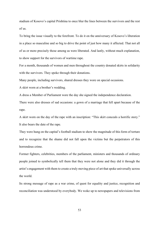stadium of Kosovo's capital Prishtina to once blur the lines between the survivors and the rest of us.

To bring the issue visually to the forefront. To do it on the anniversary of Kosovo's liberation in a place so masculine and so big to drive the point of just how many it affected. That not all of us or more precisely those among us were liberated. And lastly, without much explanation, to show support for the survivors of wartime rape.

For a month, thousands of women and men throughout the country donated skirts in solidarity with the survivors. They spoke through their donations.

Many people, including survivors, shared dresses they wore on special occasions.

A skirt worn at a brother's wedding.

A dress a Member of Parliament wore the day she signed the independence declaration.

There were also dresses of sad occasions: a gown of a marriage that fell apart because of the rape.

A skirt worn on the day of the rape with an inscription: "This skirt conceals a horrific story." It also bears the date of the rape.

They were hung on the capital's football stadium to show the magnitude of this form of torture and to recognize that the shame did not fall upon the victims but the perpetrators of this horrendous crime.

Former fighters, celebrities, members of the parliament, ministers and thousands of ordinary people joined to symbolically tell them that they were not alone and they did it through the artist's engagement with them to create a truly moving piece of art that spoke universally across the world.

Its strong message of rape as a war crime, of quest for equality and justice, recognition and reconciliation was understood by everybody. We woke up to newspapers and televisions from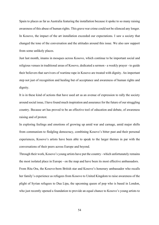Spain to places as far as Australia featuring the installation because it spoke to so many raising awareness of this abuse of human rights. This grave war crime could not be silenced any longer. In Kosovo, the impact of the art installation exceeded our expectations. I saw a society that changed the tone of the conversation and the attitudes around this issue. We also saw support from some unlikely places.

Just last month, imams in mosques across Kosovo, which continue to be important social and religious venues in traditional areas of Kosovo, dedicated a sermon - a weekly prayer - to guide their believers that survivors of wartime rape in Kosovo are treated with dignity. An important step not just of recognition and healing but of acceptance and awareness of human rights and dignity.

It is in these kind of actions that have used art as an avenue of expression to rally the society around social issue, I have found much inspiration and assurance for the future of our struggling country. Because art has proved to be an effective tool of education and debate, of awareness raising and of protest.

In exploring feelings and emotions of growing up amid war and carnage, amid major shifts from communism to fledgling democracy, combining Kosovo's bitter past and their personal experiences, Kosovo's artists have been able to speak to the larger themes in par with the conversations of their peers across Europe and beyond.

Through their work, Kosovo's young artists have put the country - which unfortunately remains the most isolated place in Europe - on the map and have been its most effective ambassadors. From Rita Ora, the Kosovo-born British star and Kosovo's honorary ambassador who recalls her family's experience as refugees from Kosovo to United Kingdom to raise awareness of the plight of Syrian refugees to Dua Lipa, the upcoming queen of pop who is based in London, who just recently opened a foundation to provide an equal chance to Kosovo's young artists to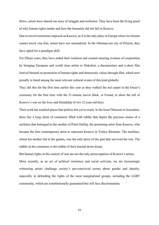thrive, artists have shared our story of struggle and resilience. They have been the living proof of why human rights matter and how the humanity did not fail in Kosovo.

Due to travel restrictions imposed on Kosovo, as it is the only place in Europe where its citizens cannot travel visa free, artists have not surrendered. In the Ottoman-era city of Prizren, they have opted for a paradigm shift.

For fifteen years, they have ended their isolation and created amazing avenues of cooperation by bringing European and world class artists to Dokufest, a documentary and a short film festival themed on promotion of human rights and democratic values through film, which now proudly is listed among the most relevant cultural events of this kind globally.

They did this for the first time earlier this year as they walked the red carpet in the Oscar's ceremony for the first time with the 21-minute movie Shok, or Friend, to show the toll of Kosovo's war on the lives and friendship of two 12-year-old boys.

Their work has reached places that politics has yet to reach. In the Israel Museum in Jerusalem, there lies a long chain of containers filled with rubble that depict the precious stones of a necklace that belonged to the mother of Petrit Halilaj, the promising artist from Kosovo, who became the first contemporary artist to represent Kosovo in Venice Biennale. The necklace, which his mother hid in the garden, was the only piece of the past that survived the war. The rubble in the containers is the rubble of their burned down house.

But human rights in the context of war are not the only preoccupation of Kosovo's artists. More recently, as an act of political resistance and social activism, we are increasingly witnessing artists challenge society's pre-conceived norms about gender and identity, especially in defending the rights of the most marginalized groups, including the LGBT community, which are constitutionally guaranteed but still face discrimination.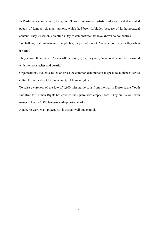In Prishtina's main square, the group "Haveit" of women artists read aloud and distributed poetry of famous Albanian authors, which had been forbidden because of its homosexual content. They kissed on Valentine's Day to demonstrate that love knows no boundaries.

To challenge nationalism and xenophobia, they vividly wrote "What colour is your flag when it burns?"

They shaved their faces to "shave off patriarchy", for, they said, "manhood cannot be measured with the moustaches and beards."

Organizations, too, have relied on art as the common denominator to speak to audiences across cultural divides about the universality of human rights.

To raise awareness of the fate of 1,800 missing persons from the war in Kosovo, the Youth Initiative for Human Rights has covered the square with empty shoes. They built a wall with names. They lit 1,800 lanterns with question marks.

Again, no word was spoken. But it was all well understood.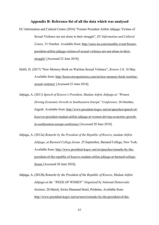#### **Appendix B: Reference list of all the data which was analysed**

- EU Information and Cultural Centre (2016) "Former President Atifete Jahjaga: Victims of Sexual Violence are not alone in their struggle", *EU Information and Cultural Centre,* 31 October. Available from: http://euicc-ks.com/monthly-event/formerpresident-atifete-jahjaga-victims-of-sexual-violence-are-not-alone-in-theirstruggle/ [Accessed 22 June 2018].
- Halili, D. (2017) "New Memory Book on Wartime Sexual Violence", *Kosovo 2.0,* 16 May. Available from: http://kosovotwopointzero.com/en/new-memory-book-wartimesexual-violence/ [Accessed 23 June 2018].
- Jahjaga, A. (2011) *Speech of Kosovo's President, Madam Atifete Jahjaga at "Women Driving Economic Growth in Southeastern Europe" Conference.* 26 October, Zagreb. Available from: http://www.president-ksgov.net/en/speeches/speech-ofkosovos-president-madam-atifete-jahjaga-at-women-driving-economic-growthin-southeastern-europe-conference [Accessed 20 June 2018].
- Jahjaga, A. (2012a) *Remarks by the President of the Republic of Kosovo, madam Atifete Jahjaga, at Barnard College forum.* 25 September, Barnard College, New York. Available from: http://www.president-ksgov.net/en/speeches/remarks-by-thepresident-of-the-republic-of-kosovo-madam-atifete-jahjaga-at-barnard-collegeforum [Accessed 20 June 2018].
- Jahjaga, A. (2012b) *Remarks by the President of the Republic of Kosovo, Madam Atifete Jahjaga at the "WEEK OF WOMEN" Organized by National Democratic Institute*. 20 March, Swiss Diamond Hotel, Prishtina. Available from: http://www.president-ksgov.net/en/news/remarks-by-the-president-of-the-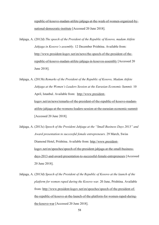republic-of-kosovo-madam-atifete-jahjaga-at-the-week-of-women-organized-bynational-democratic-institute [Accessed 20 June 2018].

Jahjaga, A. (2012d) *The speech of the President of the Republic of Kosovo, madam Atifete Jahjaga in Kosovo's assembly.* 12 December Prishtina. Available from: http://www.president-ksgov.net/en/news/the-speech-of-the-president-of-therepublic-of-kosovo-madam-atifete-jahjaga-in-kosovos-assembly [Accessed 20 June 2018].

Jahjaga, A. (2013b) *Remarks of the President of the Republic of Kosovo, Madam Atifete Jahjaga at the Women's Leaders Session at the Eurasian Economic Summit.* 10 April, Istanbul. Available from: http://www.presidentksgov.net/en/news/remarks-of-the-president-of-the-republic-of-kosovo-madamatifete-jahjaga-at-the-womens-leaders-session-at-the-eurasian-economic-summit [Accessed 20 June 2018].

Jahjaga, A. (2013c) *Speech of the President Jahjaga at the "Small Business Days 2013" and Award presentation to successful female entrepreneurs.* 29 March, Swiss Diamond Hotel, Prishtina. Available from: http://www.presidentksgov.net/en/speeches/speech-of-the-president-jahjaga-at-the-small-businessdays-2013-and-award-presentation-to-successful-female-entrepreneurs [Accessed 20 June 2018].

Jahjaga, A. (2013d) *Speech of the President of the Republic of Kosovo at the launch of the platform for women raped during the Kosovo war.* 20 June, Prishtina. Available from: http://www.president-ksgov.net/en/speeches/speech-of-the-president-ofthe-republic-of-kosovo-at-the-launch-of-the-platform-for-women-raped-duringthe-kosovo-war [Accessed 20 June 2018].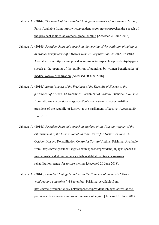- Jahjaga, A. (2014a) *The speech of the President Jahjaga at women's global summit.* 6 June, Paris. Available from: http://www.president-ksgov.net/en/speeches/the-speech-ofthe-president-jahjaga-at-womens-global-summit [Accessed 20 June 2018].
- Jahjaga, A. (2014b) *President Jahjaga's speech at the opening of the exhibition of paintings by women beneficiaries of "Medica Kosova" organization.* 26 June, Prishtina. Available form: http://www.president-ksgov.net/en/speeches/president-jahjagasspeech-at-the-opening-of-the-exhibition-of-paintings-by-women-beneficiaries-ofmedica-kosova-organization [Accessed 20 June 2018].
- Jahjaga, A. (2014c) *Annual speech of the President of the Republic of Kosovo at the parliament of Kosovo.* 18 December, Parliament of Kosovo, Prishtina. Available from: http://www.president-ksgov.net/en/speeches/annual-speech-of-thepresident-of-the-republic-of-kosovo-at-the-parliament-of-kosovo [Accessed 20 June 2018].
- Jahjaga, A. (2014d) *President Jahjaga's speech at marking of the 15th anniversary of the establishment of the Kosovo Rehabilitation Centre for Torture Victims.* 14 October, Kosovo Rehabilitation Centre for Torture Victims, Prishtina. Available from: http://www.president-ksgov.net/en/speeches/president-jahjagas-speech-atmarking-of-the-15th-anniversary-of-the-establishment-of-the-kosovorehabilitation-centre-for-torture-victims [Accessed 20 June 2018].
- Jahjaga, A. (2014e) *President Jahjaga's address at the Premiere of the movie "Three windows and a hanging".* 4 September, Prishtina. Available from: http://www.president-ksgov.net/en/speeches/president-jahjagas-adress-at-thepremiere-of-the-movie-three-windows-and-a-hanging [Accessed 20 June 2018].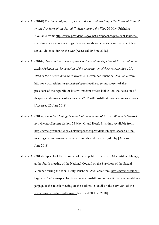Jahjaga, A. (2014f) *President Jahjaga's speech at the second meeting of the National Council on the Survivors of the Sexual Violence during the War.* 20 May, Prishtina. Available from: http://www.president-ksgov.net/en/speeches/president-jahjagasspeech-at-the-second-meeting-of-the-national-council-on-the-survivors-of-thesexual-violence-during-the-war [Accessed 20 June 2018].

Jahjaga, A. (2014g) *The greeting speech of the President of the Republic of Kosovo Madam Atifete Jahjaga on the occasion of the presentation of the strategic plan 2015- 2018 of the Kosovo Woman Network.* 20 November, Prishtina. Available from: http://www.president-ksgov.net/en/speeches/the-greeting-speech-of-thepresident-of-the-republic-of-kosovo-madam-atifete-jahjaga-on-the-occasion-ofthe-presentation-of-the-strategic-plan-2015-2018-of-the-kosovo-woman-network [Accessed 20 June 2018].

Jahjaga, A. (2015a) *President Jahjaga's speech at the meeting of Kosovo Women's Network and Gender Equality Lobby.* 28 May, Grand Hotel, Prishtina. Available from: http://www.president-ksgov.net/en/speeches/president-jahjagas-speech-at-themeeting-of-kosovo-womens-network-and-gender-equality-lobby [Accessed 20 June 2018].

Jahjaga, A. (2015b) Speech of the President of the Republic of Kosovo, Mrs. Atifete Jahjaga, at the fourth meeting of the National Council on the Survivors of the Sexual Violence during the War. 1 July, Prishtina. Available from: http://www.presidentksgov.net/en/news/speech-of-the-president-of-the-republic-of-kosovo-mrs-atifetejahjaga-at-the-fourth-meeting-of-the-national-council-on-the-survivors-of-thesexual-violence-during-the-war [Accessed 20 June 2018].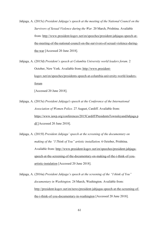Jahjaga, A. (2015c) *President Jahjaga's speech at the meeting of the National Council on the Survivors of Sexual Violence during the War.* 20 March, Prishtina. Available from: http://www.president-ksgov.net/en/speeches/president-jahjagas-speech-atthe-meeting-of-the-national-council-on-the-survivors-of-sexual-violence-duringthe-war [Accessed 20 June 2018].

Jahjaga, A. (2015d) *President's speech at Columbia University world leaders forum.* 2 October, New York. Available from: http://www.presidentksgov.net/en/speeches/presidents-speech-at-columbia-university-world-leadersforum [Accessed 20 June 2018].

Jahjaga, A. (2015e) *President Jahjaga's speech at the Conference of the International Association of Women Police.* 27 August, Cardiff. Available from: https://www.iawp.org/conferences/2015Cardiff/PresidentsTownsleyandJahjaga.p df [Accessed 20 June 2018].

Jahjaga, A. (2015f) *President Jahjaga' speech at the screening of the documentary on making of the "I Think of You" artistic installation.* 6 October, Prishtina. Available from: http://www.president-ksgov.net/en/speeches/president-jahjagaspeech-at-the-screening-of-the-documentary-on-making-of-the-i-think-of-youartistic-instalation [Accessed 20 June 2018].

Jahjaga, A. (2016a) *President Jahjaga's speech at the screening of the "I think of You" documentary in Washington.* 24 March, Washington. Available from: http://president-ksgov.net/en/news/president-jahjagas-speech-at-the-screening-ofthe-i-think-of-you-documentary-in-washington [Accessed 20 June 2018].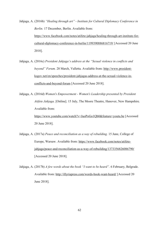Jahjaga, A. (2016b) *"Healing through art" - Institute for Cultural Diplomacy Conference in Berlin.* 17 December, Berlin. Available from: https://www.facebook.com/notes/atifete-jahjaga/healing-through-art-institute-forcultural-diplomacy-conference-in-berlin/1199390886816719/ [Accessed 20 June 2018].

- Jahjaga, A. (2016c) *President Jahjaga's address at the "Sexual violence in conflicts and beyond" Forum.* 28 March, Valletta. Available from: http://www.presidentksgov.net/en/speeches/president-jahjagas-address-at-the-sexual-violence-inconflicts-and-beyond-forum [Accessed 20 June 2018].
- Jahjaga, A. (2016d) *Women's Empowerment - Women's Leadership presented by President Atifete Jahjaga.* [Online]. 15 July, The Moore Theatre, Hanover, New Hampshire. Available from: https://www.youtube.com/watch?v=JuoPoGo1Qb0&feature=youtu.be [Accessed 20 June 2018].
- Jahjaga, A. (2017a) *Peace and reconciliation as a way of rebuilding.* 15 June, College of Europe, Warsaw. Available from: https://www.facebook.com/notes/atifetejahjaga/peace-and-reconciliation-as-a-way-of-rebuilding/1373356826086790/ [Accessed 20 June 2018].
- Jahjaga, A. (2017b) *A few words about the book "I want to be heard".* 6 February, Belgrade. Available from: http://illyriapress.com/words-book-want-heard/ [Accessed 20 June 2018].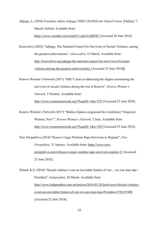Jahjaga, A. (2018) *President Atifete Jahjaga TIME CHANGE the Oxford Union.* [Online]. 7 March, Oxford. Available from: https://www.youtube.com/watch?v=glooYzBJPJE [Accessed 20 June 2018].

Kosovalive (2018) "Jahjaga: The National Council for Survivors of Sexual Violence, among the greatest achievements.", *Kosovalive*, 15 March. Available from: http://kosovalive.org/jahjaga-the-national-council-for-survivors-of-sexualviolence-among-the-greatest-achievements/ [Accessed 22 June 2018]þ

Kosovo Women's Network (2017) "KRCT aims at addressing the stigma surrounding the survivors of sexual violence during the war in Kosovo", *Kosovo Women's Network,* 2 October. Available from:

http://www.womensnetwork.org/?FaqeID=1&n=575 [Accessed 23 June 2018].

Kosovo Women's Network (2017) "Medica Gjakova organised the Conference "Empower Women, Now"", *Kosovo Women's Network,* 2 June. Available from: http://www.womensnetwork.org/?FaqeID=1&n=529 [Accessed 23 June 2018].

New Perspektiva (2018) "Kosovo Urges Wartime Rape Survivors to Register", *New Perspektiva,* 31 January. Available from: https://www.newperspektiva.com/sr/kosovo-urges-wartime-rape-survivors-register-2/ [Accessed 23 June 2018].

Orland, K.S. (2016) "Sexual violence is not an inevitable feature of war… we can stop rape – President", *Independent*, 28 March. Available from: http://www.independent.com.mt/articles/2016-03-28/local-news/Sexual-violenceis-not-an-inevitable-feature-of-war-we-can-stop-rape-President-6736155498 [Accessed 22 June 2018].